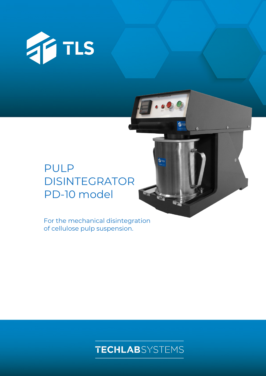

# PULP DISINTEGRATOR PD-10 model

For the mechanical disintegration of cellulose pulp suspension.



TILS

fire

 $\overline{0}$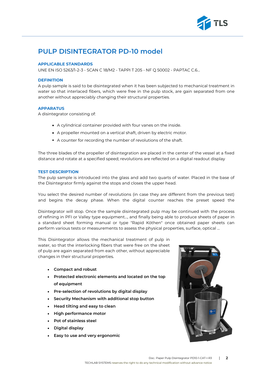

## **PULP DISINTEGRATOR PD-10 model**

#### **APPLICABLE STANDARDS**

UNE EN ISO 5263/1-2-3 - SCAN C 18/M2 - TAPPI T 205 - NF Q 50002 - PAPTAC C.6…

#### **DEFINITION**

A pulp sample is said to be disintegrated when it has been subjected to mechanical treatment in water so that interlaced fibers, which were free in the pulp stock, are gain separated from one another without appreciably changing their structural properties.

#### **APPARATUS**

A disintegrator consisting of:

- A cylindrical container provided with four vanes on the inside.
- A propeller mounted on a vertical shaft, driven by electric motor.
- A counter for recording the number of revolutions of the shaft.

The three blades of the propeller of disintegration are placed in the center of the vessel at a fixed distance and rotate at a specified speed; revolutions are reflected on a digital readout display

#### **TEST DESCRIPTION**

The pulp sample is introduced into the glass and add two quarts of water. Placed in the base of the Disintegrator firmly against the stops and closes the upper head.

You select the desired number of revolutions (in case they are different from the previous test) and begins the decay phase. When the digital counter reaches the preset speed the

Disintegrator will stop. Once the sample disintegrated pulp may be continued with the process of refining in PFI or Valley type equipment..., and finally being able to produce sheets of paper in a standard sheet forming manual or type "Rapid Köthen" once obtained paper sheets can perform various tests or measurements to assess the physical properties, surface, optical ...

This Disintegrator allows the mechanical treatment of pulp in water, so that the interlocking fibers that were free on the sheet of pulp are again separated from each other, without appreciable changes in their structural properties.

- **Compact and robust**
- **Protected electronic elements and located on the top of equipment**
- **Pre-selection of revolutions by digital display**
- **Security Mechanism with additional stop button**
- **Head tilting and easy to clean**
- **High performance motor**
- **Pot of stainless steel**
- **Digital display**
- **Easy to use and very ergonomic**

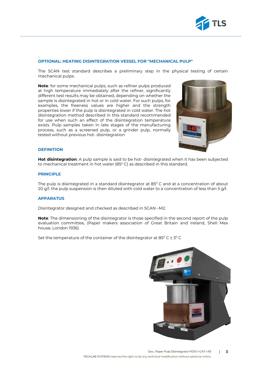

#### **OPTIONAL: HEATING DISINTEGRATION VESSEL FOR "MECHANICAL PULP"**

The SCAN test standard describes a preliminary step in the physical testing of certain mechanical pulps.

**Note**: for some mechanical pulps, such as refiner pulps produced at high temperature immediately after the refiner, significantly different test results may be obtained, depending on whether the sample is disintegrated in hot or in cold water. For such pulps, for examples, the freeness values are higher and the strength properties lower if the pulp is disintegrated in cold water. The hot disintegration method described in this standard recommended for use when such an effect of the disintegration temperature exists. Pulp samples taken in late stages of the manufacturing process, such as a screened pulp, or a grinder pulp, normally tested without previous hot- disintegration



#### **DEFINITION**

**Hot disintegration**: A pulp sample is said to be hot- disintegrated when it has been subjected to mechanical treatment in hot water  $(85^{\circ}$  C) as described in this standard.

#### **PRINCIPLE**

The pulp is disintegrated in a standard disintegrator at  $85^{\circ}$  C and at a concentration of about 20 g/l. the pulp suspension is then diluted with cold water to a concentration of less than 5 g/l.

#### **APPARATUS**

Disintegrator designed and checked as described in SCAN –M2.

**Note**: The dimensioning of the disintegrator is those specified in the second report of the pulp evaluation committee, (Paper makers association of Great Britain and Ireland, Shell Mex house, London 1936)

Set the temperature of the container of the disintegrator at  $85^{\circ}$  C  $\pm$  3° C